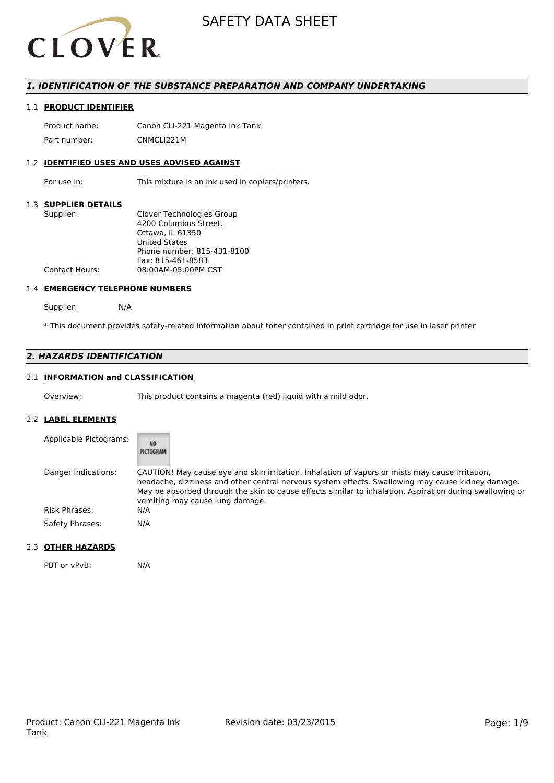

## *1. IDENTIFICATION OF THE SUBSTANCE PREPARATION AND COMPANY UNDERTAKING*

## 1.1 **PRODUCT IDENTIFIER**

Product name: Canon CLI-221 Magenta Ink Tank Part number: CNMCLI221M

## 1.2 **IDENTIFIED USES AND USES ADVISED AGAINST**

For use in: This mixture is an ink used in copiers/printers.

## 1.3 **SUPPLIER DETAILS**

### 1.4 **EMERGENCY TELEPHONE NUMBERS**

Supplier: N/A

\* This document provides safety-related information about toner contained in print cartridge for use in laser printer

## *2. HAZARDS IDENTIFICATION*

## 2.1 **INFORMATION and CLASSIFICATION**

Overview: This product contains a magenta (red) liquid with a mild odor.

## 2.2 **LABEL ELEMENTS**

| Applicable Pictograms: | NŌ<br>PICTOGRAM                                                                                                                                                                                                                                                                                                                                     |
|------------------------|-----------------------------------------------------------------------------------------------------------------------------------------------------------------------------------------------------------------------------------------------------------------------------------------------------------------------------------------------------|
| Danger Indications:    | CAUTION! May cause eye and skin irritation. Inhalation of vapors or mists may cause irritation,<br>headache, dizziness and other central nervous system effects. Swallowing may cause kidney damage.<br>May be absorbed through the skin to cause effects similar to inhalation. Aspiration during swallowing or<br>vomiting may cause lung damage. |
| Risk Phrases:          | N/A                                                                                                                                                                                                                                                                                                                                                 |
| Safety Phrases:        | N/A                                                                                                                                                                                                                                                                                                                                                 |

## 2.3 **OTHER HAZARDS**

PBT or vPvB: N/A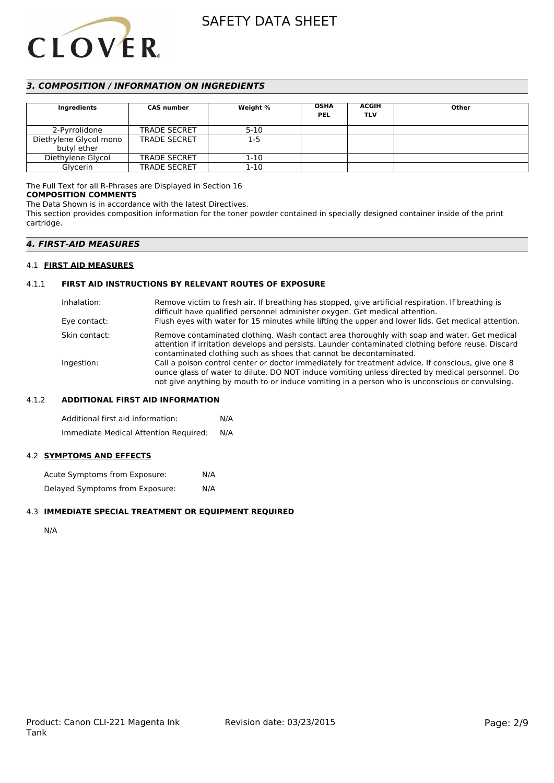

## *3. COMPOSITION / INFORMATION ON INGREDIENTS*

| <b>Ingredients</b>     | <b>CAS number</b>   | Weight % | <b>OSHA</b><br><b>PEL</b> | <b>ACGIH</b><br><b>TLV</b> | Other |
|------------------------|---------------------|----------|---------------------------|----------------------------|-------|
| 2-Pyrrolidone          | <b>TRADE SECRET</b> | $5 - 10$ |                           |                            |       |
| Diethylene Glycol mono | <b>TRADE SECRET</b> | $1-5$    |                           |                            |       |
| butyl ether            |                     |          |                           |                            |       |
| Diethylene Glycol      | <b>TRADE SECRET</b> | $1-10$   |                           |                            |       |
| Glycerin               | <b>TRADE SECRET</b> | $1 - 10$ |                           |                            |       |

## The Full Text for all R-Phrases are Displayed in Section 16

#### **COMPOSITION COMMENTS**

The Data Shown is in accordance with the latest Directives.

This section provides composition information for the toner powder contained in specially designed container inside of the print cartridge.

## *4. FIRST-AID MEASURES*

## 4.1 **FIRST AID MEASURES**

## 4.1.1 **FIRST AID INSTRUCTIONS BY RELEVANT ROUTES OF EXPOSURE**

| Inhalation:<br>Eye contact: | Remove victim to fresh air. If breathing has stopped, give artificial respiration. If breathing is<br>difficult have qualified personnel administer oxygen. Get medical attention.<br>Flush eyes with water for 15 minutes while lifting the upper and lower lids. Get medical attention.              |
|-----------------------------|--------------------------------------------------------------------------------------------------------------------------------------------------------------------------------------------------------------------------------------------------------------------------------------------------------|
| Skin contact:               | Remove contaminated clothing. Wash contact area thoroughly with soap and water. Get medical<br>attention if irritation develops and persists. Launder contaminated clothing before reuse. Discard<br>contaminated clothing such as shoes that cannot be decontaminated.                                |
| Ingestion:                  | Call a poison control center or doctor immediately for treatment advice. If conscious, give one 8<br>ounce glass of water to dilute. DO NOT induce vomiting unless directed by medical personnel. Do<br>not give anything by mouth to or induce vomiting in a person who is unconscious or convulsing. |

## 4.1.2 **ADDITIONAL FIRST AID INFORMATION**

Additional first aid information: N/A Immediate Medical Attention Required: N/A

## 4.2 **SYMPTOMS AND EFFECTS**

Acute Symptoms from Exposure: N/A Delayed Symptoms from Exposure: N/A

## 4.3 **IMMEDIATE SPECIAL TREATMENT OR EQUIPMENT REQUIRED**

N/A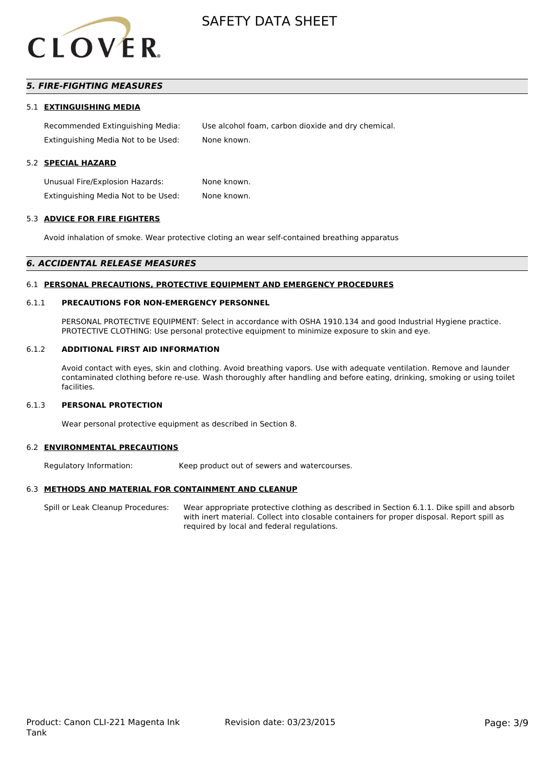

## *5. FIRE-FIGHTING MEASURES*

#### 5.1 **EXTINGUISHING MEDIA**

Recommended Extinguishing Media: Use alcohol foam, carbon dioxide and dry chemical. Extinguishing Media Not to be Used: None known.

#### 5.2 **SPECIAL HAZARD**

Unusual Fire/Explosion Hazards: None known. Extinguishing Media Not to be Used: None known.

#### 5.3 **ADVICE FOR FIRE FIGHTERS**

Avoid inhalation of smoke. Wear protective cloting an wear self-contained breathing apparatus

#### *6. ACCIDENTAL RELEASE MEASURES*

#### 6.1 **PERSONAL PRECAUTIONS, PROTECTIVE EQUIPMENT AND EMERGENCY PROCEDURES**

### 6.1.1 **PRECAUTIONS FOR NON-EMERGENCY PERSONNEL**

PERSONAL PROTECTIVE EQUIPMENT: Select in accordance with OSHA 1910.134 and good Industrial Hygiene practice. PROTECTIVE CLOTHING: Use personal protective equipment to minimize exposure to skin and eye.

#### 6.1.2 **ADDITIONAL FIRST AID INFORMATION**

Avoid contact with eyes, skin and clothing. Avoid breathing vapors. Use with adequate ventilation. Remove and launder contaminated clothing before re-use. Wash thoroughly after handling and before eating, drinking, smoking or using toilet facilities.

## 6.1.3 **PERSONAL PROTECTION**

Wear personal protective equipment as described in Section 8.

#### 6.2 **ENVIRONMENTAL PRECAUTIONS**

Regulatory Information: Keep product out of sewers and watercourses.

## 6.3 **METHODS AND MATERIAL FOR CONTAINMENT AND CLEANUP**

Spill or Leak Cleanup Procedures: Wear appropriate protective clothing as described in Section 6.1.1. Dike spill and absorb with inert material. Collect into closable containers for proper disposal. Report spill as required by local and federal regulations.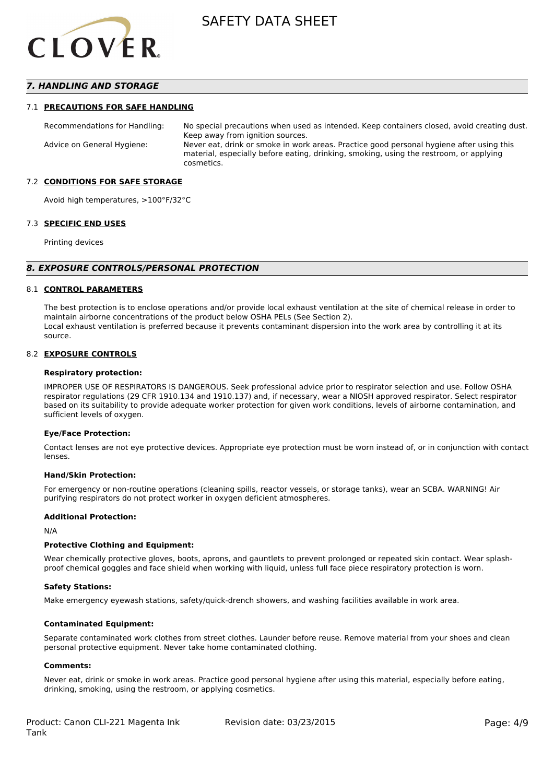

## *7. HANDLING AND STORAGE*

#### 7.1 **PRECAUTIONS FOR SAFE HANDLING**

Recommendations for Handling: No special precautions when used as intended. Keep containers closed, avoid creating dust. Keep away from ignition sources. Advice on General Hygiene: Never eat, drink or smoke in work areas. Practice good personal hygiene after using this material, especially before eating, drinking, smoking, using the restroom, or applying cosmetics.

#### 7.2 **CONDITIONS FOR SAFE STORAGE**

Avoid high temperatures, >100°F/32°C

#### 7.3 **SPECIFIC END USES**

Printing devices

#### *8. EXPOSURE CONTROLS/PERSONAL PROTECTION*

#### 8.1 **CONTROL PARAMETERS**

The best protection is to enclose operations and/or provide local exhaust ventilation at the site of chemical release in order to maintain airborne concentrations of the product below OSHA PELs (See Section 2). Local exhaust ventilation is preferred because it prevents contaminant dispersion into the work area by controlling it at its source.

#### 8.2 **EXPOSURE CONTROLS**

#### **Respiratory protection:**

IMPROPER USE OF RESPIRATORS IS DANGEROUS. Seek professional advice prior to respirator selection and use. Follow OSHA respirator regulations (29 CFR 1910.134 and 1910.137) and, if necessary, wear a NIOSH approved respirator. Select respirator based on its suitability to provide adequate worker protection for given work conditions, levels of airborne contamination, and sufficient levels of oxygen.

#### **Eye/Face Protection:**

Contact lenses are not eye protective devices. Appropriate eye protection must be worn instead of, or in conjunction with contact lenses.

#### **Hand/Skin Protection:**

For emergency or non-routine operations (cleaning spills, reactor vessels, or storage tanks), wear an SCBA. WARNING! Air purifying respirators do not protect worker in oxygen deficient atmospheres.

## **Additional Protection:**

N/A

## **Protective Clothing and Equipment:**

Wear chemically protective gloves, boots, aprons, and gauntlets to prevent prolonged or repeated skin contact. Wear splashproof chemical goggles and face shield when working with liquid, unless full face piece respiratory protection is worn.

#### **Safety Stations:**

Make emergency eyewash stations, safety/quick-drench showers, and washing facilities available in work area.

#### **Contaminated Equipment:**

Separate contaminated work clothes from street clothes. Launder before reuse. Remove material from your shoes and clean personal protective equipment. Never take home contaminated clothing.

## **Comments:**

Never eat, drink or smoke in work areas. Practice good personal hygiene after using this material, especially before eating, drinking, smoking, using the restroom, or applying cosmetics.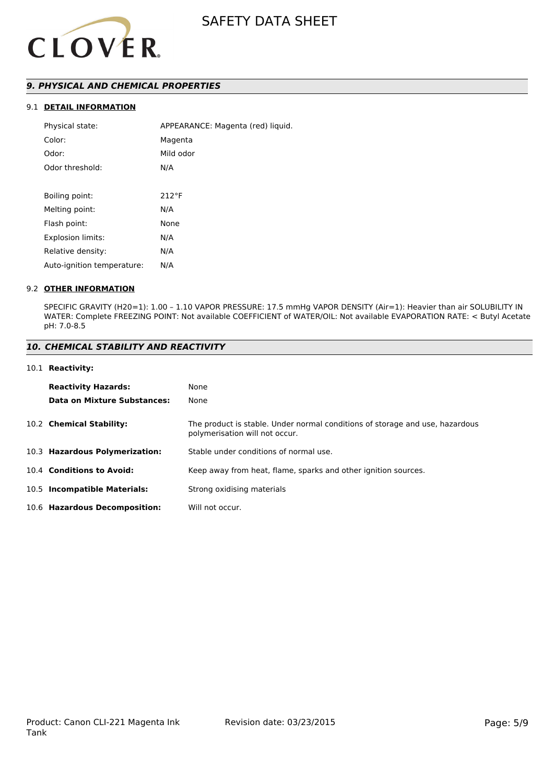

## *9. PHYSICAL AND CHEMICAL PROPERTIES*

## 9.1 **DETAIL INFORMATION**

| Physical state:            | APPEARANCE: Magenta (red) liquid. |  |  |
|----------------------------|-----------------------------------|--|--|
| Color:                     | Magenta                           |  |  |
| Odor:                      | Mild odor                         |  |  |
| Odor threshold:            | N/A                               |  |  |
|                            |                                   |  |  |
| Boiling point:             | $212^{\circ}F$                    |  |  |
| Melting point:             | N/A                               |  |  |
| Flash point:               | None                              |  |  |
| <b>Explosion limits:</b>   | N/A                               |  |  |
| Relative density:          | N/A                               |  |  |
| Auto-ignition temperature: | N/A                               |  |  |

## 9.2 **OTHER INFORMATION**

SPECIFIC GRAVITY (H20=1): 1.00 – 1.10 VAPOR PRESSURE: 17.5 mmHg VAPOR DENSITY (Air=1): Heavier than air SOLUBILITY IN WATER: Complete FREEZING POINT: Not available COEFFICIENT of WATER/OIL: Not available EVAPORATION RATE: < Butyl Acetate pH: 7.0-8.5

## *10. CHEMICAL STABILITY AND REACTIVITY*

#### 10.1 **Reactivity:**

| <b>Reactivity Hazards:</b>     | None                                                                                                           |
|--------------------------------|----------------------------------------------------------------------------------------------------------------|
| Data on Mixture Substances:    | None                                                                                                           |
| 10.2 Chemical Stability:       | The product is stable. Under normal conditions of storage and use, hazardous<br>polymerisation will not occur. |
| 10.3 Hazardous Polymerization: | Stable under conditions of normal use.                                                                         |
| 10.4 Conditions to Avoid:      | Keep away from heat, flame, sparks and other ignition sources.                                                 |
| 10.5 Incompatible Materials:   | Strong oxidising materials                                                                                     |
| 10.6 Hazardous Decomposition:  | Will not occur.                                                                                                |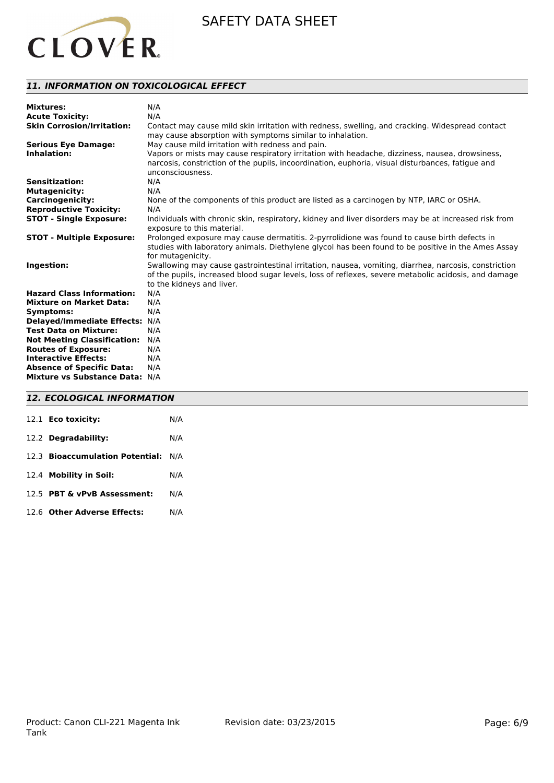

## *11. INFORMATION ON TOXICOLOGICAL EFFECT*

| <b>Mixtures:</b>                   | N/A                                                                                                                                                                                                                                       |
|------------------------------------|-------------------------------------------------------------------------------------------------------------------------------------------------------------------------------------------------------------------------------------------|
| <b>Acute Toxicity:</b>             | N/A                                                                                                                                                                                                                                       |
| <b>Skin Corrosion/Irritation:</b>  | Contact may cause mild skin irritation with redness, swelling, and cracking. Widespread contact<br>may cause absorption with symptoms similar to inhalation.                                                                              |
| <b>Serious Eye Damage:</b>         | May cause mild irritation with redness and pain.                                                                                                                                                                                          |
| Inhalation:                        | Vapors or mists may cause respiratory irritation with headache, dizziness, nausea, drowsiness,<br>narcosis, constriction of the pupils, incoordination, euphoria, visual disturbances, fatigue and<br>unconsciousness.                    |
| <b>Sensitization:</b>              | N/A                                                                                                                                                                                                                                       |
| <b>Mutagenicity:</b>               | N/A                                                                                                                                                                                                                                       |
| <b>Carcinogenicity:</b>            | None of the components of this product are listed as a carcinogen by NTP, IARC or OSHA.                                                                                                                                                   |
| <b>Reproductive Toxicity:</b>      | N/A                                                                                                                                                                                                                                       |
| <b>STOT - Single Exposure:</b>     | Individuals with chronic skin, respiratory, kidney and liver disorders may be at increased risk from<br>exposure to this material.                                                                                                        |
| <b>STOT - Multiple Exposure:</b>   | Prolonged exposure may cause dermatitis. 2-pyrrolidione was found to cause birth defects in<br>studies with laboratory animals. Diethylene glycol has been found to be positive in the Ames Assay<br>for mutagenicity.                    |
| Ingestion:                         | Swallowing may cause gastrointestinal irritation, nausea, vomiting, diarrhea, narcosis, constriction<br>of the pupils, increased blood sugar levels, loss of reflexes, severe metabolic acidosis, and damage<br>to the kidneys and liver. |
| <b>Hazard Class Information:</b>   | N/A                                                                                                                                                                                                                                       |
| <b>Mixture on Market Data:</b>     | N/A                                                                                                                                                                                                                                       |
| Symptoms:                          | N/A                                                                                                                                                                                                                                       |
| Delayed/Immediate Effects: N/A     |                                                                                                                                                                                                                                           |
| <b>Test Data on Mixture:</b>       | N/A                                                                                                                                                                                                                                       |
| <b>Not Meeting Classification:</b> | N/A                                                                                                                                                                                                                                       |
| <b>Routes of Exposure:</b>         | N/A                                                                                                                                                                                                                                       |
| <b>Interactive Effects:</b>        | N/A                                                                                                                                                                                                                                       |
| <b>Absence of Specific Data:</b>   | N/A                                                                                                                                                                                                                                       |
| Mixture vs Substance Data: N/A     |                                                                                                                                                                                                                                           |

## *12. ECOLOGICAL INFORMATION*

| 12.1 <b>Eco toxicity:</b>           | N/A |  |  |
|-------------------------------------|-----|--|--|
| 12.2 Degradability:                 | N/A |  |  |
| 12.3 Bioaccumulation Potential: N/A |     |  |  |
| 12.4 Mobility in Soil:              | N/A |  |  |
| 12.5 PBT & vPvB Assessment:         | N/A |  |  |
| 12.6 Other Adverse Effects:         | N/A |  |  |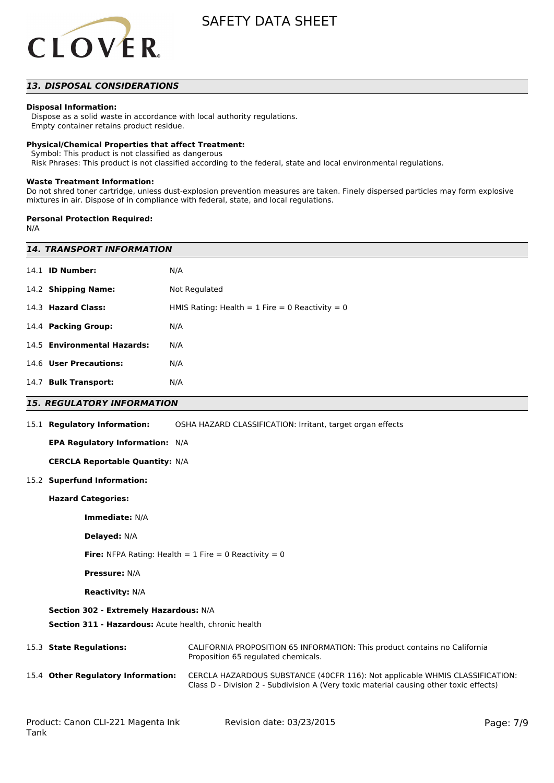

## *13. DISPOSAL CONSIDERATIONS*

## **Disposal Information:**

 Dispose as a solid waste in accordance with local authority regulations. Empty container retains product residue.

### **Physical/Chemical Properties that affect Treatment:**

Symbol: This product is not classified as dangerous

Risk Phrases: This product is not classified according to the federal, state and local environmental regulations.

#### **Waste Treatment Information:**

Do not shred toner cartridge, unless dust-explosion prevention measures are taken. Finely dispersed particles may form explosive mixtures in air. Dispose of in compliance with federal, state, and local regulations.

#### **Personal Protection Required:**

N/A

| <b>14. TRANSPORT INFORMATION</b>                                        |                                                                                                                                                                        |  |  |  |  |
|-------------------------------------------------------------------------|------------------------------------------------------------------------------------------------------------------------------------------------------------------------|--|--|--|--|
| 14.1 <b>ID Number:</b>                                                  | N/A                                                                                                                                                                    |  |  |  |  |
| 14.2 Shipping Name:                                                     | Not Regulated                                                                                                                                                          |  |  |  |  |
| 14.3 Hazard Class:<br>HMIS Rating: Health = $1$ Fire = 0 Reactivity = 0 |                                                                                                                                                                        |  |  |  |  |
| 14.4 Packing Group:                                                     | N/A                                                                                                                                                                    |  |  |  |  |
| 14.5 Environmental Hazards:                                             | N/A                                                                                                                                                                    |  |  |  |  |
| 14.6 User Precautions:                                                  | N/A                                                                                                                                                                    |  |  |  |  |
| 14.7 Bulk Transport:                                                    | N/A                                                                                                                                                                    |  |  |  |  |
| <b>15. REGULATORY INFORMATION</b>                                       |                                                                                                                                                                        |  |  |  |  |
| 15.1 Regulatory Information:                                            | OSHA HAZARD CLASSIFICATION: Irritant, target organ effects                                                                                                             |  |  |  |  |
| <b>EPA Regulatory Information: N/A</b>                                  |                                                                                                                                                                        |  |  |  |  |
| <b>CERCLA Reportable Quantity: N/A</b>                                  |                                                                                                                                                                        |  |  |  |  |
| 15.2 Superfund Information:                                             |                                                                                                                                                                        |  |  |  |  |
| <b>Hazard Categories:</b>                                               |                                                                                                                                                                        |  |  |  |  |
| Immediate: N/A                                                          |                                                                                                                                                                        |  |  |  |  |
| <b>Delayed: N/A</b>                                                     |                                                                                                                                                                        |  |  |  |  |
| <b>Fire:</b> NFPA Rating: Health = $1$ Fire = 0 Reactivity = 0          |                                                                                                                                                                        |  |  |  |  |
| <b>Pressure: N/A</b>                                                    |                                                                                                                                                                        |  |  |  |  |
| <b>Reactivity: N/A</b>                                                  |                                                                                                                                                                        |  |  |  |  |
| Section 302 - Extremely Hazardous: N/A                                  |                                                                                                                                                                        |  |  |  |  |
| Section 311 - Hazardous: Acute health, chronic health                   |                                                                                                                                                                        |  |  |  |  |
| 15.3 State Regulations:                                                 | CALIFORNIA PROPOSITION 65 INFORMATION: This product contains no California<br>Proposition 65 regulated chemicals.                                                      |  |  |  |  |
| 15.4 Other Regulatory Information:                                      | CERCLA HAZARDOUS SUBSTANCE (40CFR 116): Not applicable WHMIS CLASSIFICATION:<br>Class D - Division 2 - Subdivision A (Very toxic material causing other toxic effects) |  |  |  |  |
|                                                                         |                                                                                                                                                                        |  |  |  |  |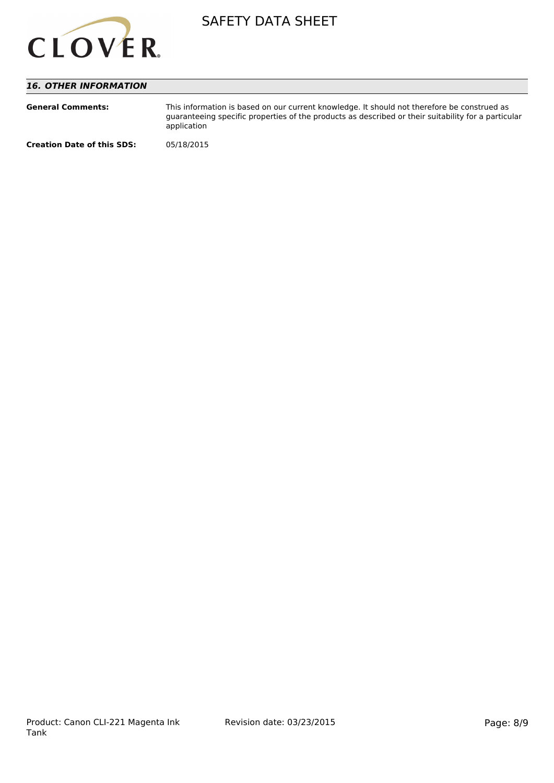

## *16. OTHER INFORMATION*

| <b>General Comments:</b>          | This information is based on our current knowledge. It should not therefore be construed as<br>quaranteeing specific properties of the products as described or their suitability for a particular<br>application |
|-----------------------------------|-------------------------------------------------------------------------------------------------------------------------------------------------------------------------------------------------------------------|
| <b>Creation Date of this SDS:</b> | 05/18/2015                                                                                                                                                                                                        |